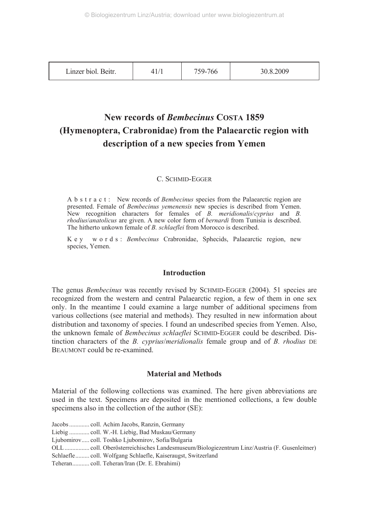| Linzer biol. Beitr. |  | 759-766 | .8.2009<br>30 X |
|---------------------|--|---------|-----------------|
|---------------------|--|---------|-----------------|

# **New records of** *Bembecinus* **COSTA 1859 (Hymenoptera, Crabronidae) from the Palaearctic region with description of a new species from Yemen**

# C. SCHMID-EGGER

A b s t r a c t : New records of *Bembecinus* species from the Palaearctic region are presented. Female of *Bembecinus yemenensis* new species is described from Yemen. New recognition characters for females of *B. meridionalis*/*cyprius* and *B. rhodius*/*anatolicus* are given. A new color form of *bernardi* from Tunisia is described. The hitherto unkown female of *B. schlaeflei* from Morocco is described.

K e y w o r d s : *Bembecinus* Crabronidae, Sphecids, Palaearctic region, new species, Yemen.

# **Introduction**

The genus *Bembecinus* was recently revised by SCHMID-EGGER (2004). 51 species are recognized from the western and central Palaearctic region, a few of them in one sex only. In the meantime I could examine a large number of additional specimens from various collections (see material and methods). They resulted in new information about distribution and taxonomy of species. I found an undescribed species from Yemen. Also, the unknown female of *Bembecinus schlaeflei* SCHMID-EGGER could be described. Distinction characters of the *B. cyprius*/*meridionalis* female group and of *B. rhodius* DE BEAUMONT could be re-examined.

# **Material and Methods**

Material of the following collections was examined. The here given abbreviations are used in the text. Specimens are deposited in the mentioned collections, a few double specimens also in the collection of the author (SE):

Jacobs ............. coll. Achim Jacobs, Ranzin, Germany

Liebig ............. coll. W.-H. Liebig, Bad Muskau/Germany

Ljubomirov..... coll. Toshko Ljubomirov, Sofia/Bulgaria

OLL ................ coll. Oberösterreichisches Landesmuseum/Biologiezentrum Linz/Austria (F. Gusenleitner)

Schlaefle......... coll. Wolfgang Schlaefle, Kaiseraugst, Switzerland

Teheran........... coll. Teheran/Iran (Dr. E. Ebrahimi)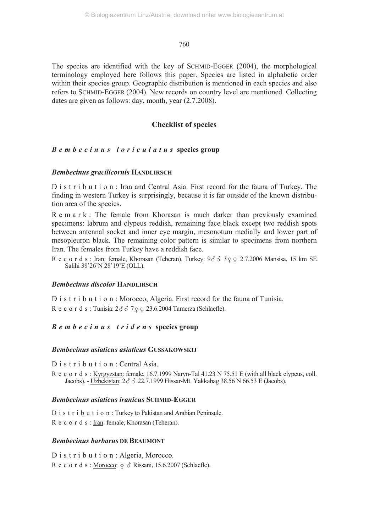The species are identified with the key of SCHMID-EGGER (2004), the morphological terminology employed here follows this paper. Species are listed in alphabetic order within their species group. Geographic distribution is mentioned in each species and also refers to SCHMID-EGGER (2004). New records on country level are mentioned. Collecting dates are given as follows: day, month, year (2.7.2008).

# **Checklist of species**

# *Bembecinus loriculatus* **species group**

# *Bembecinus gracilicornis* **HANDLIRSCH**

D i s t r i b u t i o n : Iran and Central Asia. First record for the fauna of Turkey. The finding in western Turkey is surprisingly, because it is far outside of the known distribution area of the species.

R e m a r k : The female from Khorasan is much darker than previously examined specimens: labrum and clypeus reddish, remaining face black except two reddish spots between antennal socket and inner eye margin, mesonotum medially and lower part of mesopleuron black. The remaining color pattern is similar to specimens from northern Iran. The females from Turkey have a reddish face.

R e c o r d s : <u>Iran</u>: female, Khorasan (Teheran). <u>Turkey</u>: 93 3 3 9 9 2.7.2006 Mansisa, 15 km SE Salihi 38'26'N 28'19'E (OLL).

# *Bembecinus discolor* **HANDLIRSCH**

D i s t r i b u t i o n : Morocco, Algeria. First record for the fauna of Tunisia. R e c o r d s :  $\underline{\text{Tunisia}}$ :  $2\delta$   $\delta$  7  $\varphi$   $\varphi$  23.6.2004 Tamerza (Schlaefle).

# *Bembecinus tridens* species group

# *Bembecinus asiaticus asiaticus* **GUSSAKOWSKIJ**

D i s t r i b u t i o n : Central Asia.

R e c o r d s : Kyrgyzstan: female, 16.7.1999 Naryn-Tal 41.23 N 75.51 E (with all black clypeus, coll. Jacobs). - Uzbekistan: 2 3 3 22.7.1999 Hissar-Mt. Yakkabag 38.56 N 66.53 E (Jacobs).

# *Bembecinus asiaticus iranicus* **SCHMID-EGGER**

D i s t r i b u t i o n : Turkey to Pakistan and Arabian Peninsule. R e c o r d s : Iran: female, Khorasan (Teheran).

# *Bembecinus barbarus* **DE BEAUMONT**

D i s t r i b u t i o n : Algeria, Morocco. R e c o r d s : <u>Morocco</u>:  $\varphi \circ R$  Rissani, 15.6.2007 (Schlaefle).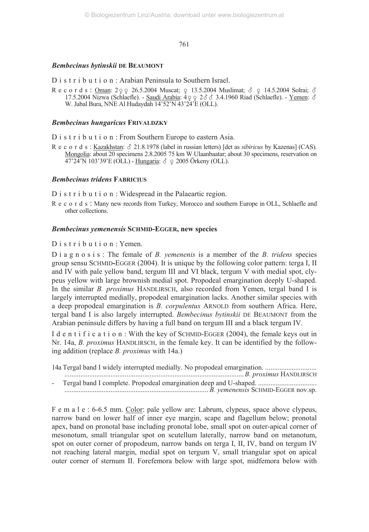### *Bembecinus bytinskii* **DE BEAUMONT**

D i s t r i b u t i o n : Arabian Peninsula to Southern Israel.

Records: <u>Oman:</u>  $2992.5.2004$  Muscat;  $913.5.2004$  Muslimat;  $391.5.2004$  Solrai;  $321.5.2004$  Solrai;  $321.5.2004$  Solrai;  $321.5.2004$  Solrai;  $321.5.2004$  Solrai;  $321.5.2004$  Solrai;  $321.5.2004$  Solrai;  $321.5.2004$ 17.5.2004 Nizwa (Schlaefle). - Saudi Arabia: 4-- 2 3.4.1960 Riad (Schlaefle). - Yemen: W. Jabal Bura, NNE Al Hudaydah 14'52'N 43'24'E (OLL).

# *Bembecinus hungaricus* **FRIVALDZKY**

D i s t r i b u t i o n : From Southern Europe to eastern Asia.

R e c o r d s : Kazakhstan: 21.8.1978 (label in russian letters) [det as *sibiricus* by Kazenas] (CAS). Mongolia: about 20 specimens 2.8.2005 75 km W Ulaanbaatar; about 30 specimens, reservation on 47'24'N 103'39'E (OLL) - <u>Hungaria</u>: δ <sub>9</sub> 2005 Orkeny (OLL).

#### *Bembecinus tridens* **FABRICIUS**

D i s t r i b u t i o n : Widespread in the Palaeartic region.

Records : Many new records from Turkey, Morocco and southern Europe in OLL, Schlaefle and other collections.

#### *Bembecinus yemenensis* **SCHMID-EGGER, new species**

# D i s t r i b u t i o n : Yemen.

D i a g n o s i s : The female of *B. yemenenis* is a member of the *B. tridens* species group sensu SCHMID**-**EGGER (2004). It is unique by the following color pattern: terga I, II and IV with pale yellow band, tergum III and VI black, tergum V with medial spot, clypeus yellow with large brownish medial spot. Propodeal emargination deeply U-shaped. In the similar *B. proximus* HANDLIRSCH, also recorded from Yemen, tergal band I is largely interrupted medially, propodeal emargination lacks. Another similar species with a deep propodeal emargination is *B. corpulentus* ARNOLD from southern Africa. Here, tergal band I is also largely interrupted. *Bembecinus bytinskii* DE BEAUMONT from the Arabian peninsule differs by having a full band on tergum III and a black tergum IV.

I d e n t i f i c a t i o n : With the key of SCHMID-EGGER (2004), the female keys out in Nr. 14a, *B. proximus* HANDLIRSCH, in the female key. It can be identified by the following addition (replace *B. proximus* with 14a.)

| - Tergal band I complete. Propodeal emargination deep and U-shaped. |
|---------------------------------------------------------------------|
| B. yemenensis SCHMID-EGGER nov.sp.                                  |

F e m a l e : 6-6.5 mm. Color: pale yellow are: Labrum, clypeus, space above clypeus, narrow band on lower half of inner eye margin, scape and flagellum below; pronotal apex, band on pronotal base including pronotal lobe, small spot on outer-apical corner of mesonotum, small triangular spot on scutellum laterally, narrow band on metanotum, spot on outer corner of propodeum, narrow bands on terga I, II, IV, band on tergum IV not reaching lateral margin, medial spot on tergum V, small triangular spot on apical outer corner of sternum II. Forefemora below with large spot, midfemora below with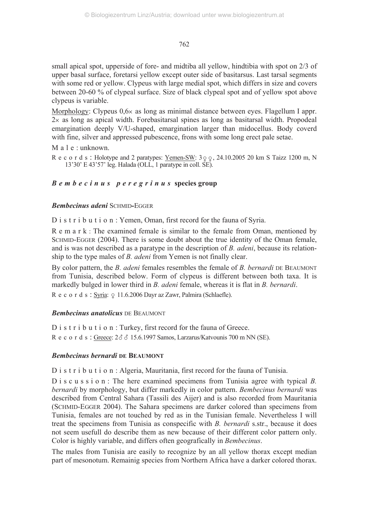small apical spot, upperside of fore- and midtiba all yellow, hindtibia with spot on 2/3 of upper basal surface, foretarsi yellow except outer side of basitarsus. Last tarsal segments with some red or yellow. Clypeus with large medial spot, which differs in size and covers between 20-60 % of clypeal surface. Size of black clypeal spot and of yellow spot above clypeus is variable.

Morphology: Clypeus  $0.6 \times$  as long as minimal distance between eyes. Flagellum I appr.  $2\times$  as long as apical width. Forebasitarsal spines as long as basitarsal width. Propodeal emargination deeply V/U-shaped, emargination larger than midocellus. Body coverd with fine, silver and appressed pubescence, frons with some long erect pale setae.

```
M a l e : unknown.
```
Records: Holotype and 2 paratypes:  $Y$ emen-SW:  $3\frac{9}{5}$ , 24.10.2005 20 km S Taizz 1200 m, N 13'30' E 43'57' leg. Halada (OLL, 1 paratype in coll. SE).

# *Bembecinus peregrinus* **species group**

# *Bembecinus adeni* SCHMID*-*EGGER

D i s t r i b u t i o n : Yemen, Oman, first record for the fauna of Syria.

Remark : The examined female is similar to the female from Oman, mentioned by SCHMID-EGGER (2004). There is some doubt about the true identity of the Oman female, and is was not described as a paratype in the description of *B. adeni*, because its relationship to the type males of *B. adeni* from Yemen is not finally clear.

By color pattern, the *B. adeni* females resembles the female of *B. bernardi* DE BEAUMONT from Tunisia, described below. Form of clypeus is different between both taxa. It is markedly bulged in lower third in *B. adeni* female, whereas it is flat in *B. bernardi*. Records: Syria: 9 11.6.2006 Dayr az Zawr, Palmira (Schlaefle).

# *Bembecinus anatolicus* DE BEAUMONT

D i s t r i b u t i o n : Turkey, first record for the fauna of Greece. Records : Greece:  $2\delta \delta$  15.6.1997 Samos, Larzarus/Katvounis 700 m NN (SE).

# *Bembecinus bernardi* **DE BEAUMONT**

D i s t r i b u t i o n : Algeria, Mauritania, first record for the fauna of Tunisia.

D i s c u s s i o n : The here examined specimens from Tunisia agree with typical *B*. *bernardi* by morphology, but differ markedly in color pattern. *Bembecinus bernardi* was described from Central Sahara (Tassili des Aijer) and is also recorded from Mauritania (SCHMID-EGGER 2004). The Sahara specimens are darker colored than specimens from Tunisia, females are not touched by red as in the Tunisian female. Nevertheless I will treat the specimens from Tunisia as conspecific with *B. bernardi* s.str., because it does not seem usefull do describe them as new because of their different color pattern only. Color is highly variable, and differs often geografically in *Bembecinus*.

The males from Tunisia are easily to recognize by an all yellow thorax except median part of mesonotum. Remainig species from Northern Africa have a darker colored thorax.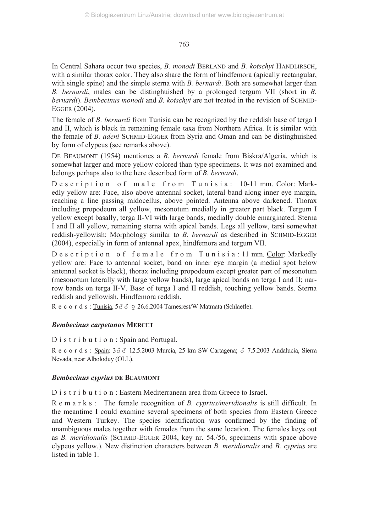In Central Sahara occur two species, *B. monodi* BERLAND and *B. kotschyi* HANDLIRSCH, with a similar thorax color. They also share the form of hindfemora (apically rectangular, with single spine) and the simple sterna with *B. bernardi*. Both are somewhat larger than *B. bernardi*, males can be distinghuished by a prolonged tergum VII (short in *B. bernardi*). *Bembecinus monodi* and *B. kotschyi* are not treated in the revision of SCHMID-EGGER (2004).

The female of *B. bernardi* from Tunisia can be recognized by the reddish base of terga I and II, which is black in remaining female taxa from Northern Africa. It is similar with the female of *B. adeni* SCHMID-EGGER from Syria and Oman and can be distinghuished by form of clypeus (see remarks above).

DE BEAUMONT (1954) mentiones a *B. bernardi* female from Biskra/Algeria, which is somewhat larger and more yellow colored than type specimens. It was not examined and belongs perhaps also to the here described form of *B. bernardi*.

Description of male from Tunisia: 10-11 mm. Color: Markedly yellow are: Face, also above antennal socket, lateral band along inner eye margin, reaching a line passing midocellus, above pointed. Antenna above darkened. Thorax including propodeum all yellow, mesonotum medially in greater part black. Tergum I yellow except basally, terga II-VI with large bands, medially double emarginated. Sterna I and II all yellow, remaining sterna with apical bands. Legs all yellow, tarsi somewhat reddish-yellowish: Morphology similar to *B. bernardi* as described in SCHMID-EGGER (2004), especially in form of antennal apex, hindfemora and tergum VII.

Description of female from Tunisia: 11 mm. Color: Markedly yellow are: Face to antennal socket, band on inner eye margin (a medial spot below antennal socket is black), thorax including propodeum except greater part of mesonotum (mesonotum laterally with large yellow bands), large apical bands on terga I and II; narrow bands on terga II-V. Base of terga I and II reddish, touching yellow bands. Sterna reddish and yellowish. Hindfemora reddish.

R e c o r d s :  $\underline{\text{Tunisia}}$ ,  $5\delta\delta \text{ } \circ \text{ } 26.6.2004$  Tamesrest/W Matmata (Schlaefle).

# *Bembecinus carpetanus* **MERCET**

D i s t r i b u t i o n : Spain and Portugal.

Records: Spain:  $3\delta\delta$  12.5.2003 Murcia, 25 km SW Cartagena;  $\delta$  7.5.2003 Andalucia, Sierra Nevada, near Alboloduy (OLL).

# *Bembecinus cyprius* **DE BEAUMONT**

D i s t r i b u t i o n : Eastern Mediterranean area from Greece to Israel.

R e m a r k s : The female recognition of *B. cyprius/meridionalis* is still difficult. In the meantime I could examine several specimens of both species from Eastern Greece and Western Turkey. The species identification was confirmed by the finding of unambiguous males together with females from the same location. The females keys out as *B. meridionalis* (SCHMID-EGGER 2004, key nr. 54./56, specimens with space above clypeus yellow.). New distinction characters between *B. meridionalis* and *B. cyprius* are listed in table 1.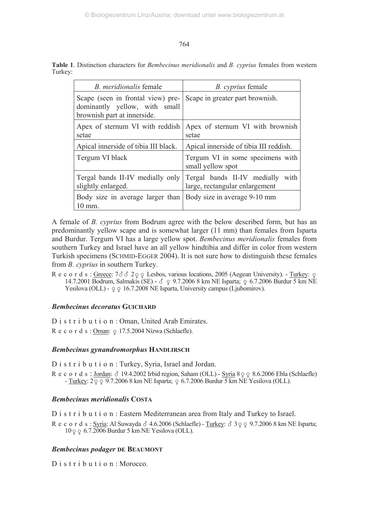| <i>B. meridionalis</i> female                                                                     | <i>B. cyprius</i> female                                              |  |
|---------------------------------------------------------------------------------------------------|-----------------------------------------------------------------------|--|
| Scape (seen in frontal view) pre-<br>dominantly yellow, with small<br>brownish part at innerside. | Scape in greater part brownish.                                       |  |
| Apex of sternum VI with reddish<br>setae                                                          | Apex of sternum VI with brownish<br>setae                             |  |
| Apical innerside of tibia III black.                                                              | Apical innerside of tibia III reddish.                                |  |
| Tergum VI black                                                                                   | Tergum VI in some specimens with<br>small yellow spot                 |  |
| Tergal bands II-IV medially only<br>slightly enlarged.                                            | Tergal bands II-IV medially<br>with<br>large, rectangular enlargement |  |
| Body size in average larger than Body size in average 9-10 mm<br>10 mm.                           |                                                                       |  |

**Table 1**. Distinction characters for *Bembecinus meridionalis* and *B. cyprius* females from western Turkey:

A female of *B. cyprius* from Bodrum agree with the below described form, but has an predominantly yellow scape and is somewhat larger (11 mm) than females from Isparta and Burdur. Tergum VI has a large yellow spot. *Bembecinus meridionalis* females from southern Turkey and Israel have an all yellow hindtibia and differ in color from western Turkish specimens (SCHMID-EGGER 2004). It is not sure how to distinguish these females from *B. cyprius* in southern Turkey.

 $R$  e c o r d s : Greece:  $7\delta$   $\delta$  2  $\varphi$  Lesbos, various locations, 2005 (Aegean University). - Turkey:  $\varphi$ 14.7.2001 Bodrum, Salmakis (SE) -  $\circ$  9.7.2006 8 km NE Isparta;  $\circ$  6.7.2006 Burdur 5 km NE Yesilova (OLL) -  $\varphi \varphi$  16.7.2008 NE Isparta, University campus (Ljubomirov).

# *Bembecinus decoratus* **GUICHARD**

D i s t r i b u t i o n : Oman, United Arab Emirates. R e c o r d s : <u>Oman</u>:  $\varphi$  17.5.2004 Nizwa (Schlaefle).

# *Bembecinus gynandromorphus* **HANDLIRSCH**

D i s t r i b u t i o n : Turkey, Syria, Israel and Jordan.

Records:  $Jordan$ :  $\delta$  19.4.2002 Irbid region, Saham (OLL) - Syria 8  $\frac{1}{2}$  8.6.2006 Ebla (Schlaefle) - <u>Turkey</u>: 2 <sub>2</sub> 0 9.7.2006 8 km NE Isparta; 0 6.7.2006 Burdur 5 km NE Yesilova (OLL).

# *Bembecinus meridionalis* **COSTA**

D i s t r i b u t i o n : Eastern Mediterranean area from Italy and Turkey to Israel.

R e c o r d s : Syria: Al Suwayda  $\delta$  4.6.2006 (Schlaefle) - Turkey:  $\delta$  3 $\varphi$   $\varphi$  9.7.2006 8 km NE Isparta; 10  $\varphi$   $\varphi$  6.7.2006 Burdur 5 km NE Yesilova (OLL).

# *Bembecinus podager* **DE BEAUMONT**

D is t r i b u t i o n · Morocco.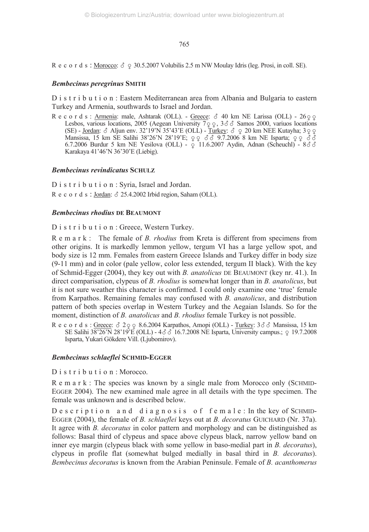Records : <u>Morocco</u>:  $\delta \varphi$  30.5.2007 Volubilis 2.5 m NW Moulay Idris (leg. Prosi, in coll. SE).

# *Bembecinus peregrinus* **SMITH**

D i s t r i b u t i o n : Eastern Mediterranean area from Albania and Bulgaria to eastern Turkey and Armenia, southwards to Israel and Jordan.

R e c o r d s : <u>Armenia</u>: male, Ashtarak (OLL). - <u>Greece</u>:  $\sigma$  40 km NE Larissa (OLL) - 26  $\sigma$  Lesbos, various locations, 2005 (Aegean University 7  $\sigma$  e 3  $\sigma$   $\sigma$  Samos 2000, variuos locations (SE) - <u>Jordan</u>:  $\delta$  Aljun env. 32'19'N 35'43'E (OLL) - <u>Turkey</u>:  $\delta$   $\varphi$  20 km NEE Kutayha; 3  $\varphi$   $\varphi$  Mansissa, 15 km SE Salihi 38'26'N 28'19'E;  $\varphi$   $\varphi$   $\delta$   $\varphi$  7.2006 8 km NE Isparta;  $\varphi$   $\varphi$   $\varphi$   $\$  $6.7.2006$  Burdur 5 km NE Yesilova (OLL) -  $\varphi$  11.6.2007 Aydin, Adnan (Scheuchl) -  $8\delta\delta$ Karakaya 41'46'N 36'30'E (Liebig).

# *Bembecinus revindicatus* **SCHULZ**

D i s t r i b u t i o n : Syria, Israel and Jordan. Records : Jordan:  $\delta$  25.4.2002 Irbid region, Saham (OLL).

# *Bembecinus rhodius* **DE BEAUMONT**

D i s t r i b u t i o n : Greece, Western Turkey.

R e m a r k : The female of *B. rhodius* from Kreta is different from specimens from other origins. It is markedly lemmon yellow, tergum VI has a large yellow spot, and body size is 12 mm. Females from eastern Greece Islands and Turkey differ in body size (9-11 mm) and in color (pale yellow, color less extended, tergum II black). With the key of Schmid-Egger (2004), they key out with *B. anatolicus* DE BEAUMONT (key nr. 41.). In direct comparisation, clypeus of *B. rhodius* is somewhat longer than in *B. anatolicus*, but it is not sure weather this character is confirmed. I could only examine one 'true' female from Karpathos. Remaining females may confused with *B. anatolicus*, and distribution pattern of both species overlap in Western Turkey and the Aegaian Islands. So for the moment, distinction of *B. anatolicus* and *B. rhodius* female Turkey is not possible.

 $R$  e c o r d s : Greece:  $\delta$  2  $\varphi$  8.6.2004 Karpathos, Amopi (OLL) - Turkey:  $3\delta$   $\delta$  Mansissa, 15 km SE Salihi 38'26'N 28'19'E (OLL) -  $4\delta \delta$  16.7.2008 NE Isparta, University campus.;  $\varphi$  19.7.2008 Isparta, Yukari Gökdere Vill. (Ljubomirov).

# *Bembecinus schlaeflei* **SCHMID***-***EGGER**

D i s t r i b u t i o n : Morocco.

R e m a r k : The species was known by a single male from Morocco only (SCHMID-EGGER 2004). The new examined male agree in all details with the type specimen. The female was unknown and is described below.

Description and diagnosis of female: In the key of SCHMID-EGGER (2004), the female of *B. schlaeflei* keys out at *B. decoratus* GUICHARD (Nr. 37a). It agree with *B. decoratus* in color pattern and morphology and can be distinguished as follows: Basal third of clypeus and space above clypeus black, narrow yellow band on inner eye margin (clypeus black with some yellow in baso-medial part in *B. decoratus*), clypeus in profile flat (somewhat bulged medially in basal third in *B. decoratus*). *Bembecinus decoratus* is known from the Arabian Peninsule. Female of *B. acanthomerus*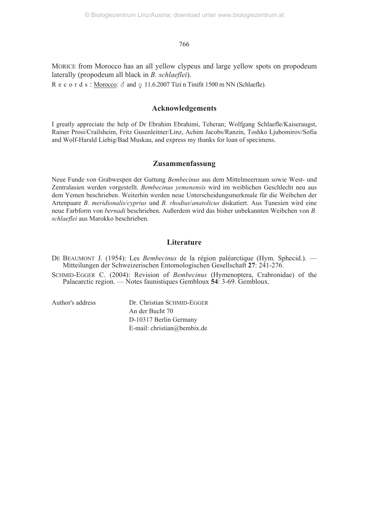MORICE from Morocco has an all yellow clypeus and large yellow spots on propodeum laterally (propodeum all black in *B. schlaeflei*).

Records: <u>Morocco</u>:  $\delta$  and  $\varphi$  11.6.2007 Tizi n Tinifit 1500 m NN (Schlaefle).

# **Acknowledgements**

I greatly appreciate the help of Dr Ebrahim Ebrahimi, Teheran; Wolfgang Schlaefle/Kaiseraugst, Rainer Prosi/Crailsheim, Fritz Gusenleitner/Linz, Achim Jacobs/Ranzin, Toshko Ljubomirov/Sofia and Wolf-Harald Liebig/Bad Muskau, and express my thanks for loan of specimens.

# **Zusammenfassung**

Neue Funde von Grabwespen der Gattung *Bembecinus* aus dem Mittelmeerraum sowie West- und Zentralasien werden vorgestellt. *Bembecinus yemenensis* wird im weiblichen Geschlecht neu aus dem Yemen beschrieben. Weiterhin werden neue Unterscheidungsmerkmale für die Weibchen der Artenpaare *B. meridionalis*/*cyprius* und *B. rhodius*/*anatolicus* diskutiert. Aus Tunesien wird eine neue Farbform von *bernadi* beschrieben. Außerdem wird das bisher unbekannten Weibchen von *B. schlaeflei* aus Marokko beschrieben.

## **Literature**

DE BEAUMONT J. (1954): Les *Bembecinus* de la région paléarctique (Hym. Sphecid.). — Mitteilungen der Schweizerischen Entomologischen Gesellschaft **27**: 241-276.

SCHMID-EGGER C. (2004): Revision of *Bembecinus* (Hymenoptera, Crabronidae) of the Palaearctic region. — Notes faunistiques Gembloux **54**: 3-69. Gembloux.

Author's address Dr. Christian SCHMID-EGGER An der Bucht 70 D-10317 Berlin Germany E-mail: christian@bembix.de